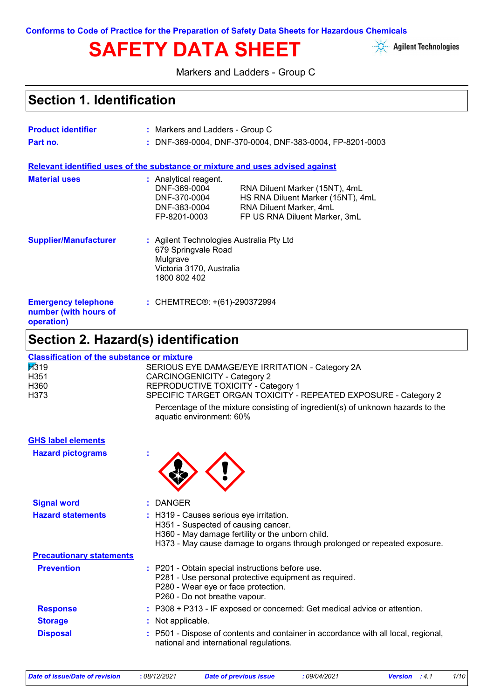# SAFETY DATA SHEET **Agilent Technologies**



Markers and Ladders - Group C

# **Section 1. Identification**

| <b>Product identifier</b>                                                     | : Markers and Ladders - Group C                                                                                         |                                                                                                                                 |
|-------------------------------------------------------------------------------|-------------------------------------------------------------------------------------------------------------------------|---------------------------------------------------------------------------------------------------------------------------------|
| Part no.                                                                      |                                                                                                                         | : DNF-369-0004, DNF-370-0004, DNF-383-0004, FP-8201-0003                                                                        |
| Relevant identified uses of the substance or mixture and uses advised against |                                                                                                                         |                                                                                                                                 |
| <b>Material uses</b>                                                          | : Analytical reagent.<br>DNF-369-0004<br>DNF-370-0004<br>DNF-383-0004<br>FP-8201-0003                                   | RNA Diluent Marker (15NT), 4mL<br>HS RNA Diluent Marker (15NT), 4mL<br>RNA Diluent Marker, 4mL<br>FP US RNA Diluent Marker, 3mL |
| <b>Supplier/Manufacturer</b>                                                  | : Agilent Technologies Australia Pty Ltd<br>679 Springvale Road<br>Mulgrave<br>Victoria 3170, Australia<br>1800 802 402 |                                                                                                                                 |
| <b>Emergency telephone</b><br>number (with hours of<br>operation)             | : CHEMTREC <sup>®</sup> : +(61)-290372994                                                                               |                                                                                                                                 |

# **Section 2. Hazard(s) identification**

| <b>Classification of the substance or mixture</b> |                                                                                                             |
|---------------------------------------------------|-------------------------------------------------------------------------------------------------------------|
| $\cancel{1319}$                                   | SERIOUS EYE DAMAGE/EYE IRRITATION - Category 2A                                                             |
| H351                                              | <b>CARCINOGENICITY - Category 2</b>                                                                         |
| H360                                              | REPRODUCTIVE TOXICITY - Category 1                                                                          |
| H <sub>3</sub> 73                                 | SPECIFIC TARGET ORGAN TOXICITY - REPEATED EXPOSURE - Category 2                                             |
|                                                   | Percentage of the mixture consisting of ingredient(s) of unknown hazards to the<br>aquatic environment: 60% |
| <b>GHS label elements</b>                         |                                                                                                             |
| <b>Hazard pictograms</b>                          |                                                                                                             |
|                                                   |                                                                                                             |
| <b>Signal word</b>                                | <b>DANGER</b>                                                                                               |
| <b>Hazard statements</b>                          | : H319 - Causes serious eye irritation.                                                                     |
|                                                   | H351 - Suspected of causing cancer.                                                                         |
|                                                   | H360 - May damage fertility or the unborn child.                                                            |
|                                                   | H373 - May cause damage to organs through prolonged or repeated exposure.                                   |
| <b>Precautionary statements</b>                   |                                                                                                             |
| <b>Prevention</b>                                 | : P201 - Obtain special instructions before use.                                                            |
|                                                   | P281 - Use personal protective equipment as required.<br>P280 - Wear eye or face protection.                |
|                                                   | P260 - Do not breathe vapour.                                                                               |
| <b>Response</b>                                   | P308 + P313 - IF exposed or concerned: Get medical advice or attention.                                     |
| <b>Storage</b>                                    | Not applicable.                                                                                             |
| <b>Disposal</b>                                   | P501 - Dispose of contents and container in accordance with all local, regional,                            |
|                                                   | national and international regulations.                                                                     |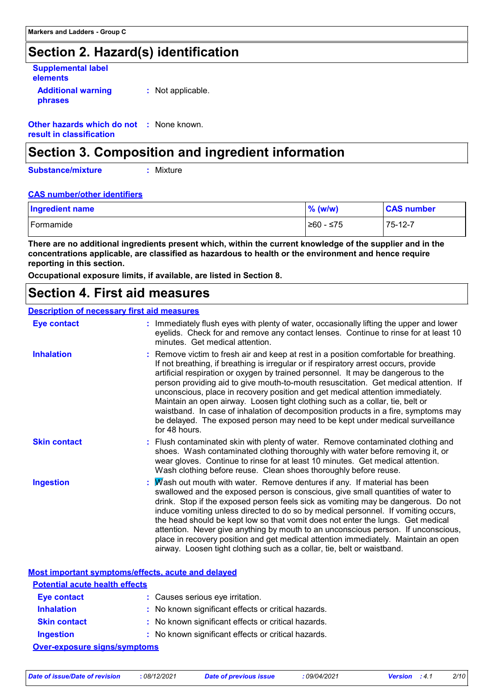### **Section 2. Hazard(s) identification**

| <b>Supplemental label</b><br>elements |                   |  |
|---------------------------------------|-------------------|--|
| <b>Additional warning</b><br>phrases  | : Not applicable. |  |

**Other hazards which do not :** None known. **result in classification**

### **Section 3. Composition and ingredient information**

**Substance/mixture**

**:** Mixture

#### **CAS number/other identifiers**

| <b>Ingredient name</b> | % (w/w)   | <b>CAS number</b> |
|------------------------|-----------|-------------------|
| Formamide              | 260 - ≤75 | 75-12-7           |

**There are no additional ingredients present which, within the current knowledge of the supplier and in the concentrations applicable, are classified as hazardous to health or the environment and hence require reporting in this section.**

**Occupational exposure limits, if available, are listed in Section 8.**

### **Section 4. First aid measures**

#### **Description of necessary first aid measures**

| <b>Eye contact</b>  | Immediately flush eyes with plenty of water, occasionally lifting the upper and lower<br>eyelids. Check for and remove any contact lenses. Continue to rinse for at least 10<br>minutes. Get medical attention.                                                                                                                                                                                                                                                                                                                                                                                                                                                                                                        |
|---------------------|------------------------------------------------------------------------------------------------------------------------------------------------------------------------------------------------------------------------------------------------------------------------------------------------------------------------------------------------------------------------------------------------------------------------------------------------------------------------------------------------------------------------------------------------------------------------------------------------------------------------------------------------------------------------------------------------------------------------|
| <b>Inhalation</b>   | : Remove victim to fresh air and keep at rest in a position comfortable for breathing.<br>If not breathing, if breathing is irregular or if respiratory arrest occurs, provide<br>artificial respiration or oxygen by trained personnel. It may be dangerous to the<br>person providing aid to give mouth-to-mouth resuscitation. Get medical attention. If<br>unconscious, place in recovery position and get medical attention immediately.<br>Maintain an open airway. Loosen tight clothing such as a collar, tie, belt or<br>waistband. In case of inhalation of decomposition products in a fire, symptoms may<br>be delayed. The exposed person may need to be kept under medical surveillance<br>for 48 hours. |
| <b>Skin contact</b> | : Flush contaminated skin with plenty of water. Remove contaminated clothing and<br>shoes. Wash contaminated clothing thoroughly with water before removing it, or<br>wear gloves. Continue to rinse for at least 10 minutes. Get medical attention.<br>Wash clothing before reuse. Clean shoes thoroughly before reuse.                                                                                                                                                                                                                                                                                                                                                                                               |
| <b>Ingestion</b>    | Wash out mouth with water. Remove dentures if any. If material has been<br>swallowed and the exposed person is conscious, give small quantities of water to<br>drink. Stop if the exposed person feels sick as vomiting may be dangerous. Do not<br>induce vomiting unless directed to do so by medical personnel. If vomiting occurs,<br>the head should be kept low so that vomit does not enter the lungs. Get medical<br>attention. Never give anything by mouth to an unconscious person. If unconscious,<br>place in recovery position and get medical attention immediately. Maintain an open<br>airway. Loosen tight clothing such as a collar, tie, belt or waistband.                                        |

**Most important symptoms/effects, acute and delayed**

| <b>Potential acute health effects</b> |                                                     |  |
|---------------------------------------|-----------------------------------------------------|--|
| <b>Eye contact</b>                    | : Causes serious eye irritation.                    |  |
| <b>Inhalation</b>                     | : No known significant effects or critical hazards. |  |
| <b>Skin contact</b>                   | : No known significant effects or critical hazards. |  |
| <b>Ingestion</b>                      | : No known significant effects or critical hazards. |  |
| <b>Over-exposure signs/symptoms</b>   |                                                     |  |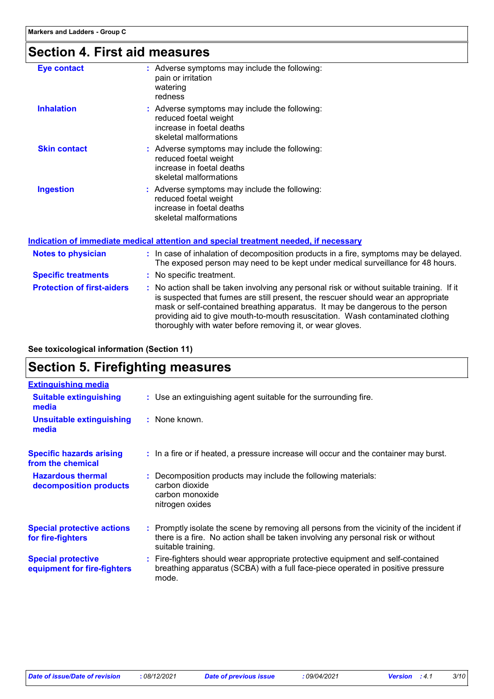# **Section 4. First aid measures**

| <b>Eye contact</b>  | : Adverse symptoms may include the following:<br>pain or irritation<br>watering<br>redness                                    |
|---------------------|-------------------------------------------------------------------------------------------------------------------------------|
| <b>Inhalation</b>   | : Adverse symptoms may include the following:<br>reduced foetal weight<br>increase in foetal deaths<br>skeletal malformations |
| <b>Skin contact</b> | : Adverse symptoms may include the following:<br>reduced foetal weight<br>increase in foetal deaths<br>skeletal malformations |
| <b>Ingestion</b>    | : Adverse symptoms may include the following:<br>reduced foetal weight<br>increase in foetal deaths<br>skeletal malformations |

**Indication of immediate medical attention and special treatment needed, if necessary**

| <b>Notes to physician</b>         | : In case of inhalation of decomposition products in a fire, symptoms may be delayed.<br>The exposed person may need to be kept under medical surveillance for 48 hours.                                                                                                                                                                                                                                        |
|-----------------------------------|-----------------------------------------------------------------------------------------------------------------------------------------------------------------------------------------------------------------------------------------------------------------------------------------------------------------------------------------------------------------------------------------------------------------|
| <b>Specific treatments</b>        | : No specific treatment.                                                                                                                                                                                                                                                                                                                                                                                        |
| <b>Protection of first-aiders</b> | : No action shall be taken involving any personal risk or without suitable training. If it<br>is suspected that fumes are still present, the rescuer should wear an appropriate<br>mask or self-contained breathing apparatus. It may be dangerous to the person<br>providing aid to give mouth-to-mouth resuscitation. Wash contaminated clothing<br>thoroughly with water before removing it, or wear gloves. |

**See toxicological information (Section 11)**

### **Section 5. Firefighting measures**

| <b>Extinguishing media</b>                               |                                                                                                                                                                                                     |
|----------------------------------------------------------|-----------------------------------------------------------------------------------------------------------------------------------------------------------------------------------------------------|
| <b>Suitable extinguishing</b><br>media                   | : Use an extinguishing agent suitable for the surrounding fire.                                                                                                                                     |
| <b>Unsuitable extinguishing</b><br>media                 | : None known.                                                                                                                                                                                       |
| <b>Specific hazards arising</b><br>from the chemical     | : In a fire or if heated, a pressure increase will occur and the container may burst.                                                                                                               |
| <b>Hazardous thermal</b><br>decomposition products       | : Decomposition products may include the following materials:<br>carbon dioxide<br>carbon monoxide<br>nitrogen oxides                                                                               |
| <b>Special protective actions</b><br>for fire-fighters   | : Promptly isolate the scene by removing all persons from the vicinity of the incident if<br>there is a fire. No action shall be taken involving any personal risk or without<br>suitable training. |
| <b>Special protective</b><br>equipment for fire-fighters | : Fire-fighters should wear appropriate protective equipment and self-contained<br>breathing apparatus (SCBA) with a full face-piece operated in positive pressure<br>mode.                         |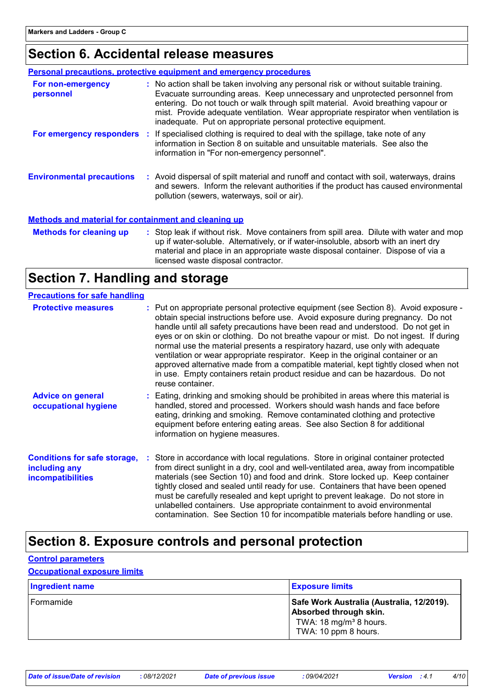# **Section 6. Accidental release measures**

|                                                             |  | <b>Personal precautions, protective equipment and emergency procedures</b>                                                                                                                                                                                                                                                                                                                                      |
|-------------------------------------------------------------|--|-----------------------------------------------------------------------------------------------------------------------------------------------------------------------------------------------------------------------------------------------------------------------------------------------------------------------------------------------------------------------------------------------------------------|
| For non-emergency<br>personnel                              |  | : No action shall be taken involving any personal risk or without suitable training.<br>Evacuate surrounding areas. Keep unnecessary and unprotected personnel from<br>entering. Do not touch or walk through spilt material. Avoid breathing vapour or<br>mist. Provide adequate ventilation. Wear appropriate respirator when ventilation is<br>inadequate. Put on appropriate personal protective equipment. |
|                                                             |  | For emergency responders : If specialised clothing is required to deal with the spillage, take note of any<br>information in Section 8 on suitable and unsuitable materials. See also the<br>information in "For non-emergency personnel".                                                                                                                                                                      |
| <b>Environmental precautions</b>                            |  | : Avoid dispersal of spilt material and runoff and contact with soil, waterways, drains<br>and sewers. Inform the relevant authorities if the product has caused environmental<br>pollution (sewers, waterways, soil or air).                                                                                                                                                                                   |
| <b>Methods and material for containment and cleaning up</b> |  |                                                                                                                                                                                                                                                                                                                                                                                                                 |

| <b>Methods for cleaning up</b> | : Stop leak if without risk. Move containers from spill area. Dilute with water and mop |
|--------------------------------|-----------------------------------------------------------------------------------------|
|                                | up if water-soluble. Alternatively, or if water-insoluble, absorb with an inert dry     |
|                                | material and place in an appropriate waste disposal container. Dispose of via a         |
|                                | licensed waste disposal contractor.                                                     |

# **Section 7. Handling and storage**

| <b>Precautions for safe handling</b>                                             |                                                                                                                                                                                                                                                                                                                                                                                                                                                                                                                                                                                                                                                                                                                    |
|----------------------------------------------------------------------------------|--------------------------------------------------------------------------------------------------------------------------------------------------------------------------------------------------------------------------------------------------------------------------------------------------------------------------------------------------------------------------------------------------------------------------------------------------------------------------------------------------------------------------------------------------------------------------------------------------------------------------------------------------------------------------------------------------------------------|
| <b>Protective measures</b>                                                       | : Put on appropriate personal protective equipment (see Section 8). Avoid exposure -<br>obtain special instructions before use. Avoid exposure during pregnancy. Do not<br>handle until all safety precautions have been read and understood. Do not get in<br>eyes or on skin or clothing. Do not breathe vapour or mist. Do not ingest. If during<br>normal use the material presents a respiratory hazard, use only with adequate<br>ventilation or wear appropriate respirator. Keep in the original container or an<br>approved alternative made from a compatible material, kept tightly closed when not<br>in use. Empty containers retain product residue and can be hazardous. Do not<br>reuse container. |
| <b>Advice on general</b><br>occupational hygiene                                 | : Eating, drinking and smoking should be prohibited in areas where this material is<br>handled, stored and processed. Workers should wash hands and face before<br>eating, drinking and smoking. Remove contaminated clothing and protective<br>equipment before entering eating areas. See also Section 8 for additional<br>information on hygiene measures.                                                                                                                                                                                                                                                                                                                                                      |
| <b>Conditions for safe storage,</b><br>including any<br><i>incompatibilities</i> | : Store in accordance with local regulations. Store in original container protected<br>from direct sunlight in a dry, cool and well-ventilated area, away from incompatible<br>materials (see Section 10) and food and drink. Store locked up. Keep container<br>tightly closed and sealed until ready for use. Containers that have been opened<br>must be carefully resealed and kept upright to prevent leakage. Do not store in<br>unlabelled containers. Use appropriate containment to avoid environmental<br>contamination. See Section 10 for incompatible materials before handling or use.                                                                                                               |

## **Section 8. Exposure controls and personal protection**

| <b>Control parameters</b>           |                                                                                                                                   |
|-------------------------------------|-----------------------------------------------------------------------------------------------------------------------------------|
| <b>Occupational exposure limits</b> |                                                                                                                                   |
| <b>Ingredient name</b>              | <b>Exposure limits</b>                                                                                                            |
| Formamide                           | Safe Work Australia (Australia, 12/2019).<br>Absorbed through skin.<br>TWA: 18 mg/m <sup>3</sup> 8 hours.<br>TWA: 10 ppm 8 hours. |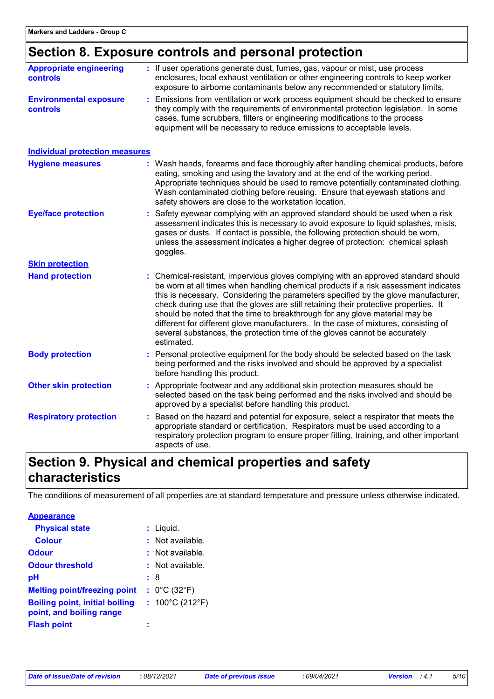# **Section 8. Exposure controls and personal protection**

| <b>Appropriate engineering</b><br>controls | : If user operations generate dust, fumes, gas, vapour or mist, use process<br>enclosures, local exhaust ventilation or other engineering controls to keep worker<br>exposure to airborne contaminants below any recommended or statutory limits.                                                                                                                                                                                                                                                                                                                                                                         |
|--------------------------------------------|---------------------------------------------------------------------------------------------------------------------------------------------------------------------------------------------------------------------------------------------------------------------------------------------------------------------------------------------------------------------------------------------------------------------------------------------------------------------------------------------------------------------------------------------------------------------------------------------------------------------------|
| <b>Environmental exposure</b><br>controls  | Emissions from ventilation or work process equipment should be checked to ensure<br>they comply with the requirements of environmental protection legislation. In some<br>cases, fume scrubbers, filters or engineering modifications to the process<br>equipment will be necessary to reduce emissions to acceptable levels.                                                                                                                                                                                                                                                                                             |
| <b>Individual protection measures</b>      |                                                                                                                                                                                                                                                                                                                                                                                                                                                                                                                                                                                                                           |
| <b>Hygiene measures</b>                    | : Wash hands, forearms and face thoroughly after handling chemical products, before<br>eating, smoking and using the lavatory and at the end of the working period.<br>Appropriate techniques should be used to remove potentially contaminated clothing.<br>Wash contaminated clothing before reusing. Ensure that eyewash stations and<br>safety showers are close to the workstation location.                                                                                                                                                                                                                         |
| <b>Eye/face protection</b>                 | Safety eyewear complying with an approved standard should be used when a risk<br>assessment indicates this is necessary to avoid exposure to liquid splashes, mists,<br>gases or dusts. If contact is possible, the following protection should be worn,<br>unless the assessment indicates a higher degree of protection: chemical splash<br>goggles.                                                                                                                                                                                                                                                                    |
| <b>Skin protection</b>                     |                                                                                                                                                                                                                                                                                                                                                                                                                                                                                                                                                                                                                           |
| <b>Hand protection</b>                     | : Chemical-resistant, impervious gloves complying with an approved standard should<br>be worn at all times when handling chemical products if a risk assessment indicates<br>this is necessary. Considering the parameters specified by the glove manufacturer,<br>check during use that the gloves are still retaining their protective properties. It<br>should be noted that the time to breakthrough for any glove material may be<br>different for different glove manufacturers. In the case of mixtures, consisting of<br>several substances, the protection time of the gloves cannot be accurately<br>estimated. |
| <b>Body protection</b>                     | Personal protective equipment for the body should be selected based on the task<br>being performed and the risks involved and should be approved by a specialist<br>before handling this product.                                                                                                                                                                                                                                                                                                                                                                                                                         |
| <b>Other skin protection</b>               | : Appropriate footwear and any additional skin protection measures should be<br>selected based on the task being performed and the risks involved and should be<br>approved by a specialist before handling this product.                                                                                                                                                                                                                                                                                                                                                                                                 |
| <b>Respiratory protection</b>              | Based on the hazard and potential for exposure, select a respirator that meets the<br>appropriate standard or certification. Respirators must be used according to a<br>respiratory protection program to ensure proper fitting, training, and other important<br>aspects of use.                                                                                                                                                                                                                                                                                                                                         |

# **Section 9. Physical and chemical properties and safety characteristics**

The conditions of measurement of all properties are at standard temperature and pressure unless otherwise indicated.

| <b>Appearance</b>                                                 |                                      |  |
|-------------------------------------------------------------------|--------------------------------------|--|
| <b>Physical state</b>                                             | $:$ Liquid.                          |  |
| <b>Colour</b>                                                     | $:$ Not available.                   |  |
| Odour                                                             | $:$ Not available.                   |  |
| <b>Odour threshold</b>                                            | $:$ Not available.                   |  |
| рH                                                                | : 8                                  |  |
| <b>Melting point/freezing point</b>                               | : $0^{\circ}$ C (32 $^{\circ}$ F)    |  |
| <b>Boiling point, initial boiling</b><br>point, and boiling range | : $100^{\circ}$ C (212 $^{\circ}$ F) |  |
| <b>Flash point</b>                                                |                                      |  |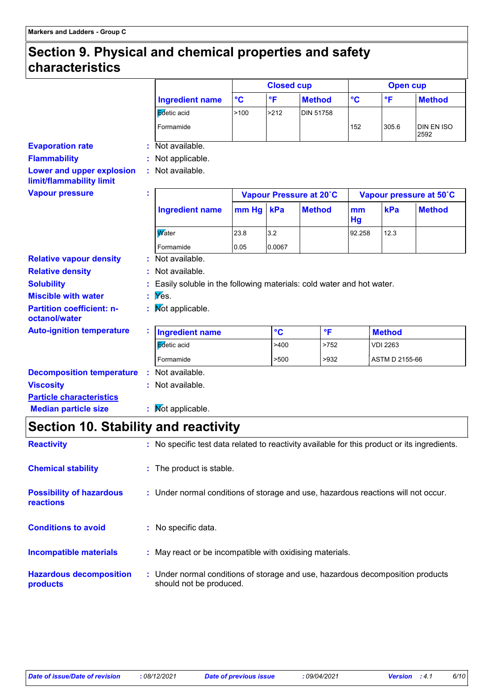### **Section 9. Physical and chemical properties and safety characteristics**

|                                                       |   |                                                                      |                 | <b>Closed cup</b> |                         |          | <b>Open cup</b> |                           |
|-------------------------------------------------------|---|----------------------------------------------------------------------|-----------------|-------------------|-------------------------|----------|-----------------|---------------------------|
|                                                       |   | <b>Ingredient name</b>                                               | $\rm ^{\circ}C$ | °F                | <b>Method</b>           | °C       | $^{\circ}$ F    | <b>Method</b>             |
|                                                       |   | Edetic acid                                                          | >100            | >212              | <b>DIN 51758</b>        |          |                 |                           |
|                                                       |   | Formamide                                                            |                 |                   |                         | 152      | 305.6           | <b>DIN EN ISO</b><br>2592 |
| <b>Evaporation rate</b>                               |   | : Not available.                                                     |                 |                   |                         |          |                 |                           |
| <b>Flammability</b>                                   |   | : Not applicable.                                                    |                 |                   |                         |          |                 |                           |
| Lower and upper explosion<br>limit/flammability limit |   | : Not available.                                                     |                 |                   |                         |          |                 |                           |
| <b>Vapour pressure</b>                                | t |                                                                      |                 |                   | Vapour Pressure at 20°C |          |                 | Vapour pressure at 50°C   |
|                                                       |   | <b>Ingredient name</b>                                               | $mm$ Hg         | kPa               | <b>Method</b>           | mm<br>Hg | kPa             | <b>Method</b>             |
|                                                       |   | Water                                                                | 23.8            | 3.2               |                         | 92.258   | 12.3            |                           |
|                                                       |   | Formamide                                                            | 0.05            | 0.0067            |                         |          |                 |                           |
| <b>Relative vapour density</b>                        |   | : Not available.                                                     |                 |                   |                         |          |                 |                           |
| <b>Relative density</b>                               |   | : Not available.                                                     |                 |                   |                         |          |                 |                           |
| <b>Solubility</b>                                     |   | Easily soluble in the following materials: cold water and hot water. |                 |                   |                         |          |                 |                           |
| <b>Miscible with water</b>                            |   | $\mathbf{y}$ Yes.                                                    |                 |                   |                         |          |                 |                           |
| <b>Partition coefficient: n-</b><br>octanol/water     |   | : Mot applicable.                                                    |                 |                   |                         |          |                 |                           |
| <b>Auto-ignition temperature</b>                      |   | <b>Ingredient name</b>                                               |                 | $\circ$ C         | $\mathsf{P}$            |          | <b>Method</b>   |                           |
|                                                       |   | Edetic acid                                                          |                 | >400              | >752                    |          | <b>VDI 2263</b> |                           |
|                                                       |   | Formamide                                                            |                 | >500              | >932                    |          | ASTM D 2155-66  |                           |
| <b>Decomposition temperature</b>                      |   | : Not available.                                                     |                 |                   |                         |          |                 |                           |
| <b>Viscosity</b>                                      |   | : Not available.                                                     |                 |                   |                         |          |                 |                           |
| <b>Particle characteristics</b>                       |   |                                                                      |                 |                   |                         |          |                 |                           |
| <b>Median particle size</b>                           |   | : Mot applicable.                                                    |                 |                   |                         |          |                 |                           |

# **Section 10. Stability and reactivity**

| <b>Reactivity</b>                            |    | : No specific test data related to reactivity available for this product or its ingredients.              |
|----------------------------------------------|----|-----------------------------------------------------------------------------------------------------------|
| <b>Chemical stability</b>                    |    | : The product is stable.                                                                                  |
| <b>Possibility of hazardous</b><br>reactions |    | : Under normal conditions of storage and use, hazardous reactions will not occur.                         |
| <b>Conditions to avoid</b>                   | ÷. | No specific data.                                                                                         |
| Incompatible materials                       |    | : May react or be incompatible with oxidising materials.                                                  |
| <b>Hazardous decomposition</b><br>products   |    | : Under normal conditions of storage and use, hazardous decomposition products<br>should not be produced. |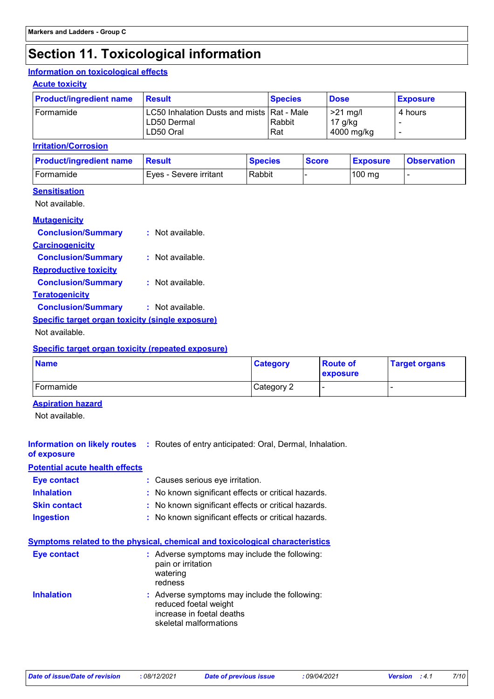# **Section 11. Toxicological information**

#### **Information on toxicological effects**

#### **Acute toxicity**

| <b>Product/ingredient name</b> | <b>Result</b>                                                            | <b>Species</b> | <b>Dose</b>                           | <b>Exposure</b> |
|--------------------------------|--------------------------------------------------------------------------|----------------|---------------------------------------|-----------------|
| 'Formamide                     | LC50 Inhalation Dusts and mists   Rat - Male<br>LD50 Dermal<br>LD50 Oral | Rabbit<br>Rat  | $>21$ mg/l<br>$17$ g/kg<br>4000 mg/kg | 4 hours         |

#### **Irritation/Corrosion**

| <b>Product/ingredient name</b> | <b>Result</b>          | <b>Species</b> | <b>Score</b> | <b>Exposure</b>  | <b>Observation</b> |
|--------------------------------|------------------------|----------------|--------------|------------------|--------------------|
| Formamide                      | Eves - Severe irritant | Rabbit         |              | $100 \text{ mg}$ |                    |

#### **Sensitisation**

Not available.

| <b>Mutagenicity</b>                                     |                    |
|---------------------------------------------------------|--------------------|
| <b>Conclusion/Summary</b>                               | $:$ Not available. |
| <b>Carcinogenicity</b>                                  |                    |
| <b>Conclusion/Summary</b>                               | : Not available.   |
| <b>Reproductive toxicity</b>                            |                    |
| <b>Conclusion/Summary</b>                               | : Not available.   |
| <b>Teratogenicity</b>                                   |                    |
| <b>Conclusion/Summary</b>                               | : Not available.   |
| <b>Specific target organ toxicity (single exposure)</b> |                    |
| Not available.                                          |                    |

#### **Specific target organ toxicity (repeated exposure)**

| <b>Name</b> | <b>Category</b> | <b>Route of</b><br><b>exposure</b> | <b>Target organs</b> |
|-------------|-----------------|------------------------------------|----------------------|
| Formamide   | Category 2      |                                    |                      |

#### **Aspiration hazard**

Not available.

| of exposure                           | <b>Information on likely routes : Routes of entry anticipated: Oral, Dermal, Inhalation.</b>                                                                                                                                                                                                                         |
|---------------------------------------|----------------------------------------------------------------------------------------------------------------------------------------------------------------------------------------------------------------------------------------------------------------------------------------------------------------------|
| <b>Potential acute health effects</b> |                                                                                                                                                                                                                                                                                                                      |
| Eye contact                           | : Causes serious eye irritation.                                                                                                                                                                                                                                                                                     |
| <b>Inhalation</b>                     | : No known significant effects or critical hazards.                                                                                                                                                                                                                                                                  |
| <b>Skin contact</b>                   | : No known significant effects or critical hazards.                                                                                                                                                                                                                                                                  |
| <b>Ingestion</b>                      | : No known significant effects or critical hazards.                                                                                                                                                                                                                                                                  |
| Eye contact<br><b>Inhalation</b>      | <b>Symptoms related to the physical, chemical and toxicological characteristics</b><br>$:$ Adverse symptoms may include the following:<br>pain or irritation<br>watering<br>redness<br>: Adverse symptoms may include the following:<br>reduced foetal weight<br>increase in foetal deaths<br>skeletal malformations |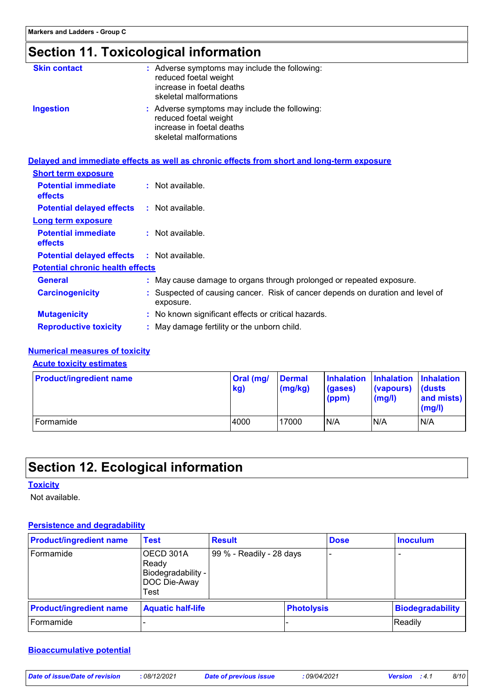# **Section 11. Toxicological information**

| <b>Skin contact</b>                               | : Adverse symptoms may include the following:<br>reduced foetal weight<br>increase in foetal deaths<br>skeletal malformations |
|---------------------------------------------------|-------------------------------------------------------------------------------------------------------------------------------|
| <b>Ingestion</b>                                  | : Adverse symptoms may include the following:<br>reduced foetal weight<br>increase in foetal deaths<br>skeletal malformations |
|                                                   | Delayed and immediate effects as well as chronic effects from short and long-term exposure                                    |
| <b>Short term exposure</b>                        |                                                                                                                               |
| <b>Potential immediate</b><br>effects             | $:$ Not available.                                                                                                            |
| <b>Potential delayed effects : Not available.</b> |                                                                                                                               |
| <b>Long term exposure</b>                         |                                                                                                                               |
| <b>Potential immediate</b><br>effects             | : Not available.                                                                                                              |
| <b>Potential delayed effects : Not available.</b> |                                                                                                                               |
| <b>Potential chronic health effects</b>           |                                                                                                                               |
| <b>General</b>                                    | : May cause damage to organs through prolonged or repeated exposure.                                                          |
| <b>Carcinogenicity</b>                            | : Suspected of causing cancer. Risk of cancer depends on duration and level of                                                |
|                                                   |                                                                                                                               |

|                              | exposure.                                           |
|------------------------------|-----------------------------------------------------|
| <b>Mutagenicity</b>          | : No known significant effects or critical hazards. |
| <b>Reproductive toxicity</b> | : May damage fertility or the unborn child.         |

#### **Numerical measures of toxicity**

#### **Acute toxicity estimates**

| <b>Product/ingredient name</b> | Oral (mg/<br>kg) | <b>Dermal</b><br>(mg/kg) | Inhalation Inhalation Inhalation<br>(gases)<br>(ppm) | (vapours)<br>(mg/l) | $\mathsf{Id}$ usts<br>and mists)<br>(mg/l) |
|--------------------------------|------------------|--------------------------|------------------------------------------------------|---------------------|--------------------------------------------|
| Formamide                      | 4000             | 17000                    | N/A                                                  | N/A                 | N/A                                        |

# **Section 12. Ecological information**

#### **Toxicity**

Not available.

#### **Persistence and degradability**

| <b>Product/ingredient name</b> | <b>Test</b>                                                      | <b>Result</b>            |                   | <b>Dose</b> | <b>Inoculum</b>          |
|--------------------------------|------------------------------------------------------------------|--------------------------|-------------------|-------------|--------------------------|
| Formamide                      | OECD 301A<br>Ready<br>Biodegradability -<br>DOC Die-Away<br>Test | 99 % - Readily - 28 days |                   |             | $\overline{\phantom{0}}$ |
| <b>Product/ingredient name</b> | <b>Aquatic half-life</b>                                         |                          | <b>Photolysis</b> |             | Biodegradability         |
| Formamide                      |                                                                  |                          |                   |             | Readily                  |

#### **Bioaccumulative potential**

| Date of issue/Date of revision | : 08/12/2021 | Date of previous issue | : 09/04/2021 |  |
|--------------------------------|--------------|------------------------|--------------|--|
|--------------------------------|--------------|------------------------|--------------|--|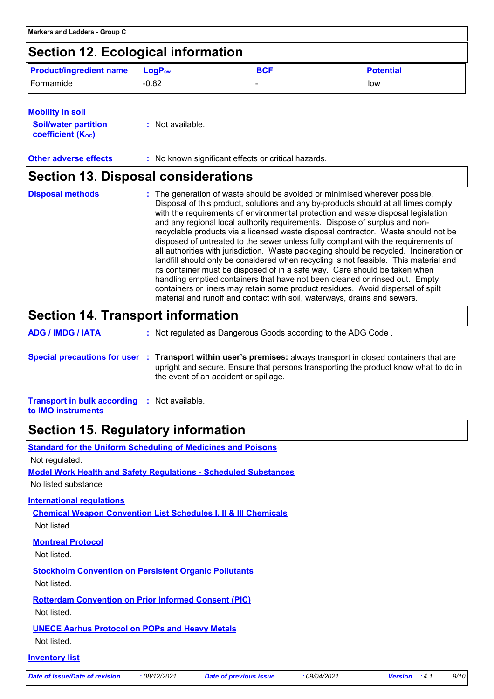# **Section 12. Ecological information**

| <b>Product/ingredient name</b> | $\mathsf{LogP}_\mathsf{ow}$ | <b>BCF</b> | <b>Potential</b> |
|--------------------------------|-----------------------------|------------|------------------|
| Formamide                      | $-0.82$                     |            | low              |

| <b>Mobility in soil</b>                                 |                  |
|---------------------------------------------------------|------------------|
| <b>Soil/water partition</b><br><b>coefficient (Koc)</b> | : Not available. |
|                                                         |                  |

**Other adverse effects** : No known significant effects or critical hazards.

### **Section 13. Disposal considerations**

| <b>Disposal methods</b> | : The generation of waste should be avoided or minimised wherever possible.<br>Disposal of this product, solutions and any by-products should at all times comply<br>with the requirements of environmental protection and waste disposal legislation<br>and any regional local authority requirements. Dispose of surplus and non-<br>recyclable products via a licensed waste disposal contractor. Waste should not be<br>disposed of untreated to the sewer unless fully compliant with the requirements of<br>all authorities with jurisdiction. Waste packaging should be recycled. Incineration or<br>landfill should only be considered when recycling is not feasible. This material and<br>its container must be disposed of in a safe way. Care should be taken when<br>handling emptied containers that have not been cleaned or rinsed out. Empty |
|-------------------------|---------------------------------------------------------------------------------------------------------------------------------------------------------------------------------------------------------------------------------------------------------------------------------------------------------------------------------------------------------------------------------------------------------------------------------------------------------------------------------------------------------------------------------------------------------------------------------------------------------------------------------------------------------------------------------------------------------------------------------------------------------------------------------------------------------------------------------------------------------------|
|                         | containers or liners may retain some product residues. Avoid dispersal of spilt<br>material and runoff and contact with soil, waterways, drains and sewers.                                                                                                                                                                                                                                                                                                                                                                                                                                                                                                                                                                                                                                                                                                   |

# **Section 14. Transport information**

| <b>ADG / IMDG / IATA</b> | : Not regulated as Dangerous Goods according to the ADG Code.                                                                                                                                                                                   |
|--------------------------|-------------------------------------------------------------------------------------------------------------------------------------------------------------------------------------------------------------------------------------------------|
|                          | Special precautions for user : Transport within user's premises: always transport in closed containers that are<br>upright and secure. Ensure that persons transporting the product know what to do in<br>the event of an accident or spillage. |

**Transport in bulk according :** Not available. **to IMO instruments**

### **Section 15. Regulatory information**

| <b>Standard for the Uniform Scheduling of Medicines and Poisons</b>        |              |                               |          |
|----------------------------------------------------------------------------|--------------|-------------------------------|----------|
| Not regulated.                                                             |              |                               |          |
| <b>Model Work Health and Safety Requiations - Scheduled Substances</b>     |              |                               |          |
| No listed substance                                                        |              |                               |          |
| <b>International regulations</b>                                           |              |                               |          |
| <b>Chemical Weapon Convention List Schedules I, II &amp; III Chemicals</b> |              |                               |          |
| Not listed.                                                                |              |                               |          |
| <b>Montreal Protocol</b>                                                   |              |                               |          |
| Not listed.                                                                |              |                               |          |
| <b>Stockholm Convention on Persistent Organic Pollutants</b>               |              |                               |          |
| Not listed.                                                                |              |                               |          |
| <b>Rotterdam Convention on Prior Informed Consent (PIC)</b>                |              |                               |          |
| Not listed.                                                                |              |                               |          |
| <b>UNECE Aarhus Protocol on POPs and Heavy Metals</b>                      |              |                               |          |
| Not listed.                                                                |              |                               |          |
| <b>Inventory list</b>                                                      |              |                               |          |
| <b>Date of issue/Date of revision</b>                                      | : 08/12/2021 | <b>Date of previous issue</b> | :09/04/2 |